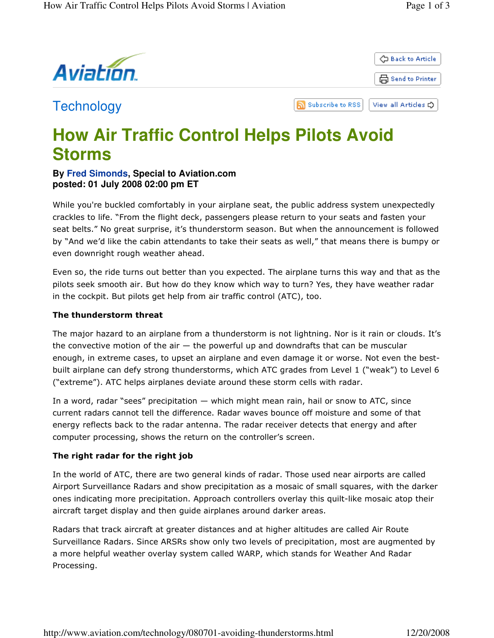

# **How Air Traffic Control Helps Pilots Avoid Storms**

## **By Fred Simonds, Special to Aviation.com posted: 01 July 2008 02:00 pm ET**

While you're buckled comfortably in your airplane seat, the public address system unexpectedly crackles to life. "From the flight deck, passengers please return to your seats and fasten your seat belts." No great surprise, it's thunderstorm season. But when the announcement is followed by "And we'd like the cabin attendants to take their seats as well," that means there is bumpy or even downright rough weather ahead.

Even so, the ride turns out better than you expected. The airplane turns this way and that as the pilots seek smooth air. But how do they know which way to turn? Yes, they have weather radar in the cockpit. But pilots get help from air traffic control (ATC), too.

### The thunderstorm threat

The major hazard to an airplane from a thunderstorm is not lightning. Nor is it rain or clouds. It's the convective motion of the air  $-$  the powerful up and downdrafts that can be muscular enough, in extreme cases, to upset an airplane and even damage it or worse. Not even the bestbuilt airplane can defy strong thunderstorms, which ATC grades from Level 1 ("weak") to Level 6 ("extreme"). ATC helps airplanes deviate around these storm cells with radar.

In a word, radar "sees" precipitation — which might mean rain, hail or snow to ATC, since current radars cannot tell the difference. Radar waves bounce off moisture and some of that energy reflects back to the radar antenna. The radar receiver detects that energy and after computer processing, shows the return on the controller's screen.

## The right radar for the right job

In the world of ATC, there are two general kinds of radar. Those used near airports are called Airport Surveillance Radars and show precipitation as a mosaic of small squares, with the darker ones indicating more precipitation. Approach controllers overlay this quilt-like mosaic atop their aircraft target display and then guide airplanes around darker areas.

Radars that track aircraft at greater distances and at higher altitudes are called Air Route Surveillance Radars. Since ARSRs show only two levels of precipitation, most are augmented by a more helpful weather overlay system called WARP, which stands for Weather And Radar Processing.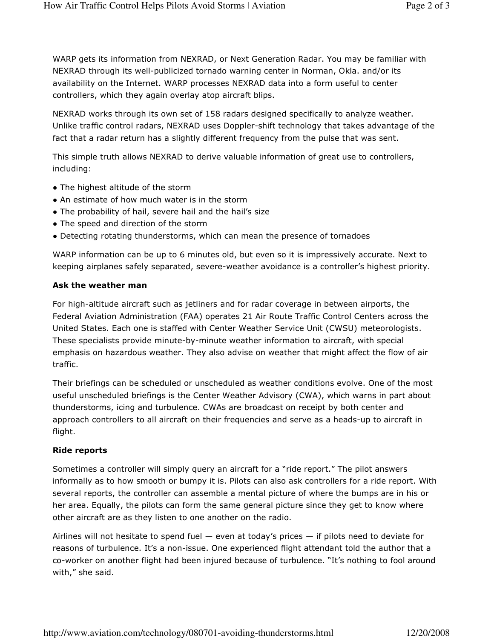WARP gets its information from NEXRAD, or Next Generation Radar. You may be familiar with NEXRAD through its well-publicized tornado warning center in Norman, Okla. and/or its availability on the Internet. WARP processes NEXRAD data into a form useful to center controllers, which they again overlay atop aircraft blips.

NEXRAD works through its own set of 158 radars designed specifically to analyze weather. Unlike traffic control radars, NEXRAD uses Doppler-shift technology that takes advantage of the fact that a radar return has a slightly different frequency from the pulse that was sent.

This simple truth allows NEXRAD to derive valuable information of great use to controllers, including:

- The highest altitude of the storm
- An estimate of how much water is in the storm
- The probability of hail, severe hail and the hail's size
- The speed and direction of the storm
- Detecting rotating thunderstorms, which can mean the presence of tornadoes

WARP information can be up to 6 minutes old, but even so it is impressively accurate. Next to keeping airplanes safely separated, severe-weather avoidance is a controller's highest priority.

#### Ask the weather man

For high-altitude aircraft such as jetliners and for radar coverage in between airports, the Federal Aviation Administration (FAA) operates 21 Air Route Traffic Control Centers across the United States. Each one is staffed with Center Weather Service Unit (CWSU) meteorologists. These specialists provide minute-by-minute weather information to aircraft, with special emphasis on hazardous weather. They also advise on weather that might affect the flow of air traffic.

Their briefings can be scheduled or unscheduled as weather conditions evolve. One of the most useful unscheduled briefings is the Center Weather Advisory (CWA), which warns in part about thunderstorms, icing and turbulence. CWAs are broadcast on receipt by both center and approach controllers to all aircraft on their frequencies and serve as a heads-up to aircraft in flight.

#### Ride reports

Sometimes a controller will simply query an aircraft for a "ride report." The pilot answers informally as to how smooth or bumpy it is. Pilots can also ask controllers for a ride report. With several reports, the controller can assemble a mental picture of where the bumps are in his or her area. Equally, the pilots can form the same general picture since they get to know where other aircraft are as they listen to one another on the radio.

Airlines will not hesitate to spend fuel  $-$  even at today's prices  $-$  if pilots need to deviate for reasons of turbulence. It's a non-issue. One experienced flight attendant told the author that a co-worker on another flight had been injured because of turbulence. "It's nothing to fool around with," she said.